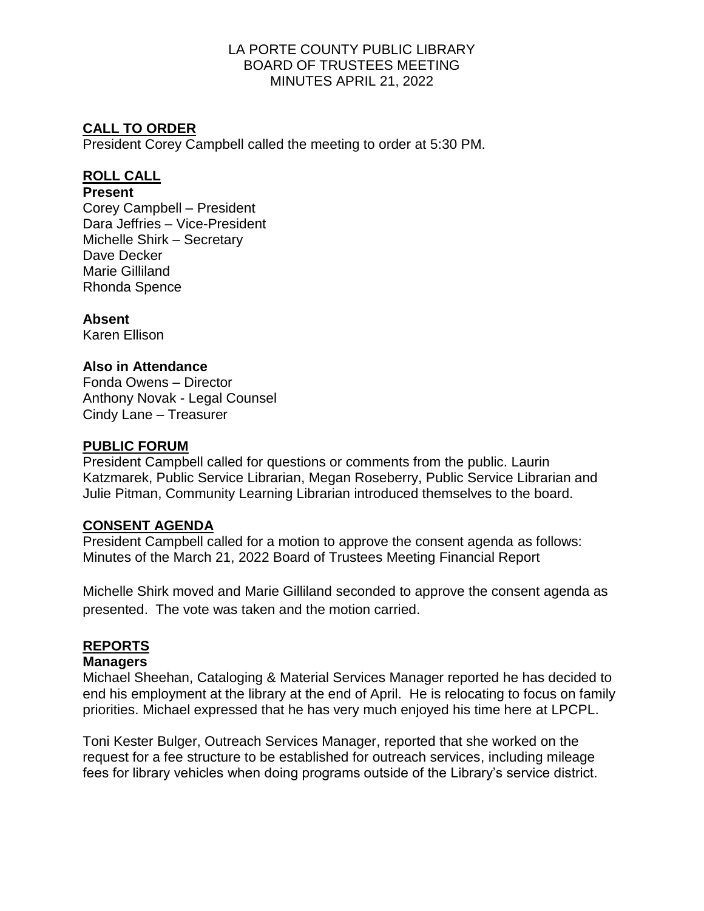# **CALL TO ORDER**

President Corey Campbell called the meeting to order at 5:30 PM.

# **ROLL CALL**

#### **Present**

Corey Campbell – President Dara Jeffries – Vice-President Michelle Shirk – Secretary Dave Decker Marie Gilliland Rhonda Spence

**Absent**

Karen Ellison

### **Also in Attendance**

Fonda Owens – Director Anthony Novak - Legal Counsel Cindy Lane – Treasurer

### **PUBLIC FORUM**

President Campbell called for questions or comments from the public. Laurin Katzmarek, Public Service Librarian, Megan Roseberry, Public Service Librarian and Julie Pitman, Community Learning Librarian introduced themselves to the board.

#### **CONSENT AGENDA**

President Campbell called for a motion to approve the consent agenda as follows: Minutes of the March 21, 2022 Board of Trustees Meeting Financial Report

Michelle Shirk moved and Marie Gilliland seconded to approve the consent agenda as presented. The vote was taken and the motion carried.

# **REPORTS**

#### **Managers**

Michael Sheehan, Cataloging & Material Services Manager reported he has decided to end his employment at the library at the end of April. He is relocating to focus on family priorities. Michael expressed that he has very much enjoyed his time here at LPCPL.

Toni Kester Bulger, Outreach Services Manager, reported that she worked on the request for a fee structure to be established for outreach services, including mileage fees for library vehicles when doing programs outside of the Library's service district.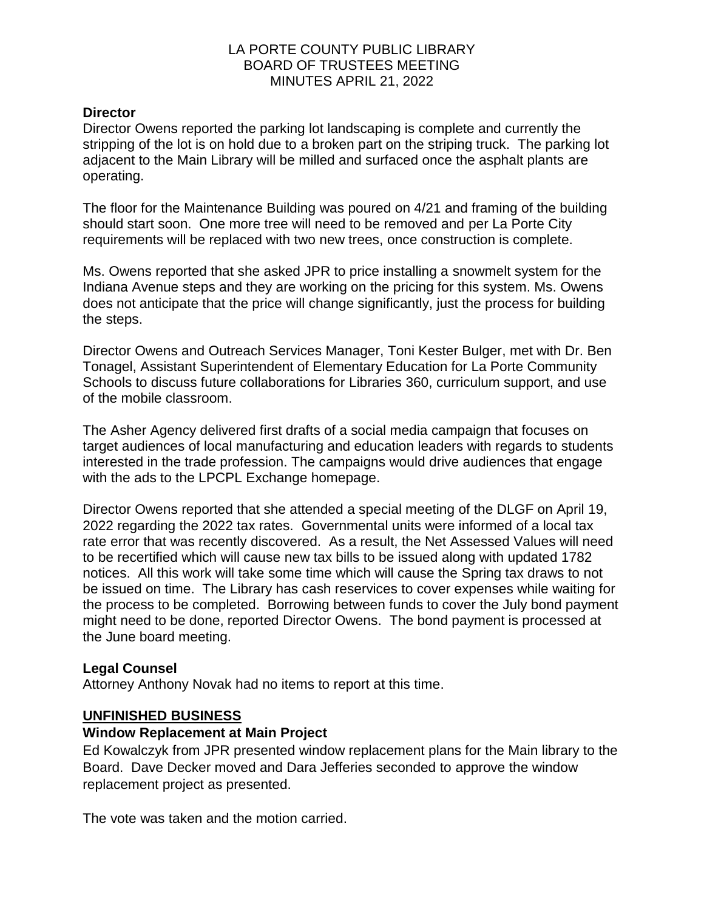#### **Director**

Director Owens reported the parking lot landscaping is complete and currently the stripping of the lot is on hold due to a broken part on the striping truck. The parking lot adjacent to the Main Library will be milled and surfaced once the asphalt plants are operating.

The floor for the Maintenance Building was poured on 4/21 and framing of the building should start soon. One more tree will need to be removed and per La Porte City requirements will be replaced with two new trees, once construction is complete.

Ms. Owens reported that she asked JPR to price installing a snowmelt system for the Indiana Avenue steps and they are working on the pricing for this system. Ms. Owens does not anticipate that the price will change significantly, just the process for building the steps.

Director Owens and Outreach Services Manager, Toni Kester Bulger, met with Dr. Ben Tonagel, Assistant Superintendent of Elementary Education for La Porte Community Schools to discuss future collaborations for Libraries 360, curriculum support, and use of the mobile classroom.

The Asher Agency delivered first drafts of a social media campaign that focuses on target audiences of local manufacturing and education leaders with regards to students interested in the trade profession. The campaigns would drive audiences that engage with the ads to the LPCPL Exchange homepage.

Director Owens reported that she attended a special meeting of the DLGF on April 19, 2022 regarding the 2022 tax rates. Governmental units were informed of a local tax rate error that was recently discovered. As a result, the Net Assessed Values will need to be recertified which will cause new tax bills to be issued along with updated 1782 notices. All this work will take some time which will cause the Spring tax draws to not be issued on time. The Library has cash reservices to cover expenses while waiting for the process to be completed. Borrowing between funds to cover the July bond payment might need to be done, reported Director Owens. The bond payment is processed at the June board meeting.

#### **Legal Counsel**

Attorney Anthony Novak had no items to report at this time.

#### **UNFINISHED BUSINESS**

#### **Window Replacement at Main Project**

Ed Kowalczyk from JPR presented window replacement plans for the Main library to the Board. Dave Decker moved and Dara Jefferies seconded to approve the window replacement project as presented.

The vote was taken and the motion carried.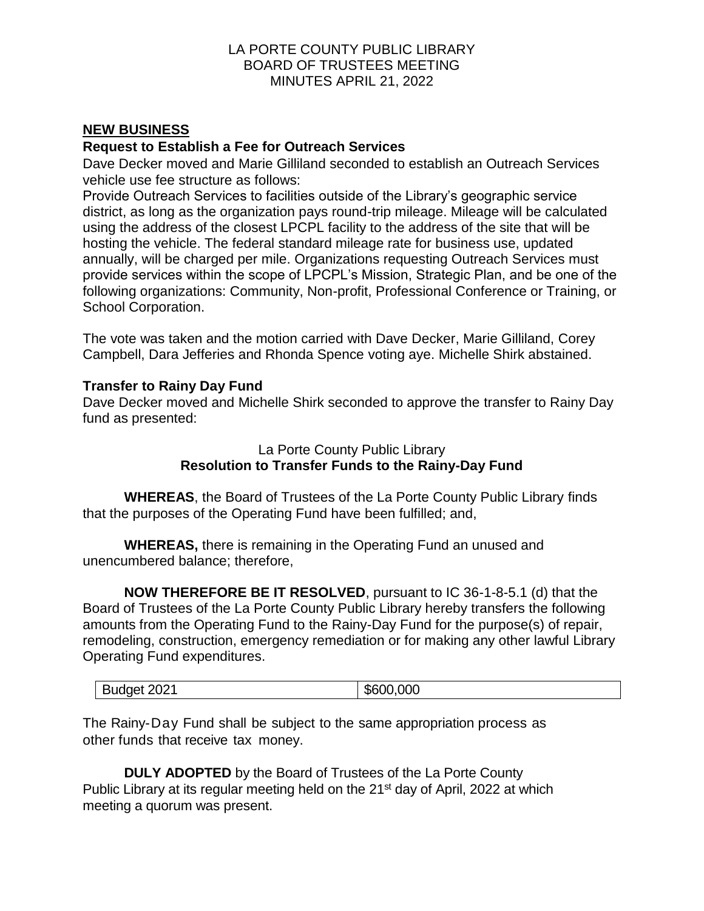#### **NEW BUSINESS**

#### **Request to Establish a Fee for Outreach Services**

Dave Decker moved and Marie Gilliland seconded to establish an Outreach Services vehicle use fee structure as follows:

Provide Outreach Services to facilities outside of the Library's geographic service district, as long as the organization pays round-trip mileage. Mileage will be calculated using the address of the closest LPCPL facility to the address of the site that will be hosting the vehicle. The federal standard mileage rate for business use, updated annually, will be charged per mile. Organizations requesting Outreach Services must provide services within the scope of LPCPL's Mission, Strategic Plan, and be one of the following organizations: Community, Non-profit, Professional Conference or Training, or School Corporation.

The vote was taken and the motion carried with Dave Decker, Marie Gilliland, Corey Campbell, Dara Jefferies and Rhonda Spence voting aye. Michelle Shirk abstained.

#### **Transfer to Rainy Day Fund**

Dave Decker moved and Michelle Shirk seconded to approve the transfer to Rainy Day fund as presented:

#### La Porte County Public Library **Resolution to Transfer Funds to the Rainy-Day Fund**

**WHEREAS**, the Board of Trustees of the La Porte County Public Library finds that the purposes of the Operating Fund have been fulfilled; and,

**WHEREAS,** there is remaining in the Operating Fund an unused and unencumbered balance; therefore,

**NOW THEREFORE BE IT RESOLVED**, pursuant to IC 36-1-8-5.1 (d) that the Board of Trustees of the La Porte County Public Library hereby transfers the following amounts from the Operating Fund to the Rainy-Day Fund for the purpose(s) of repair, remodeling, construction, emergency remediation or for making any other lawful Library Operating Fund expenditures.

| Budget 2021 | \$600,000 |
|-------------|-----------|
|-------------|-----------|

The Rainy-Day Fund shall be subject to the same appropriation process as other funds that receive tax money.

**DULY ADOPTED** by the Board of Trustees of the La Porte County Public Library at its regular meeting held on the 21<sup>st</sup> day of April, 2022 at which meeting a quorum was present.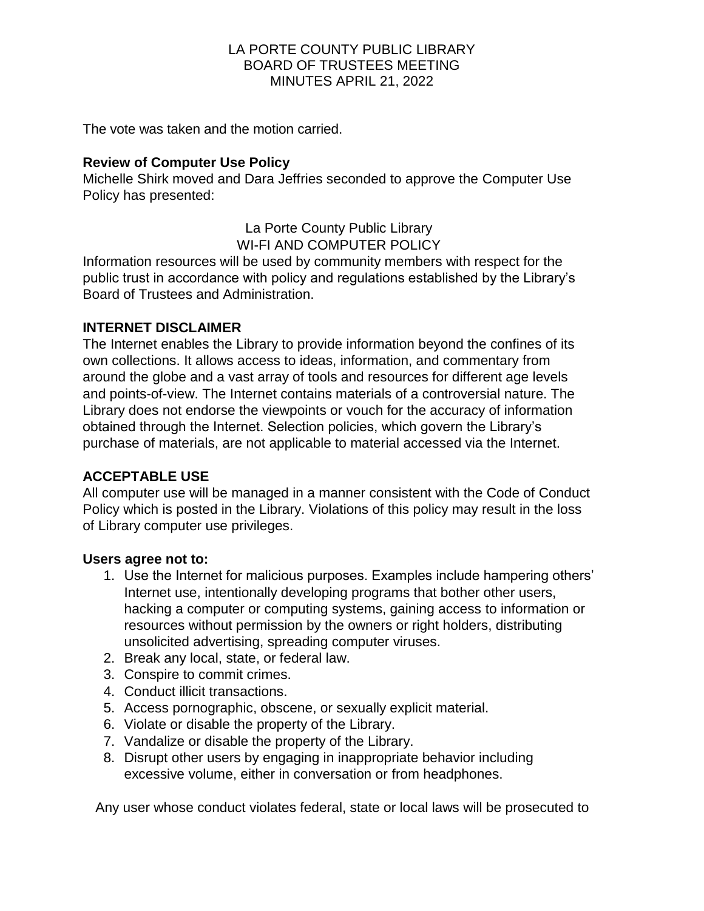The vote was taken and the motion carried.

## **Review of Computer Use Policy**

Michelle Shirk moved and Dara Jeffries seconded to approve the Computer Use Policy has presented:

> La Porte County Public Library WI-FI AND COMPUTER POLICY

Information resources will be used by community members with respect for the public trust in accordance with policy and regulations established by the Library's Board of Trustees and Administration.

### **INTERNET DISCLAIMER**

The Internet enables the Library to provide information beyond the confines of its own collections. It allows access to ideas, information, and commentary from around the globe and a vast array of tools and resources for different age levels and points-of-view. The Internet contains materials of a controversial nature. The Library does not endorse the viewpoints or vouch for the accuracy of information obtained through the Internet. Selection policies, which govern the Library's purchase of materials, are not applicable to material accessed via the Internet.

# **ACCEPTABLE USE**

All computer use will be managed in a manner consistent with the Code of Conduct Policy which is posted in the Library. Violations of this policy may result in the loss of Library computer use privileges.

#### **Users agree not to:**

- 1. Use the Internet for malicious purposes. Examples include hampering others' Internet use, intentionally developing programs that bother other users, hacking a computer or computing systems, gaining access to information or resources without permission by the owners or right holders, distributing unsolicited advertising, spreading computer viruses.
- 2. Break any local, state, or federal law.
- 3. Conspire to commit crimes.
- 4. Conduct illicit transactions.
- 5. Access pornographic, obscene, or sexually explicit material.
- 6. Violate or disable the property of the Library.
- 7. Vandalize or disable the property of the Library.
- 8. Disrupt other users by engaging in inappropriate behavior including excessive volume, either in conversation or from headphones.

Any user whose conduct violates federal, state or local laws will be prosecuted to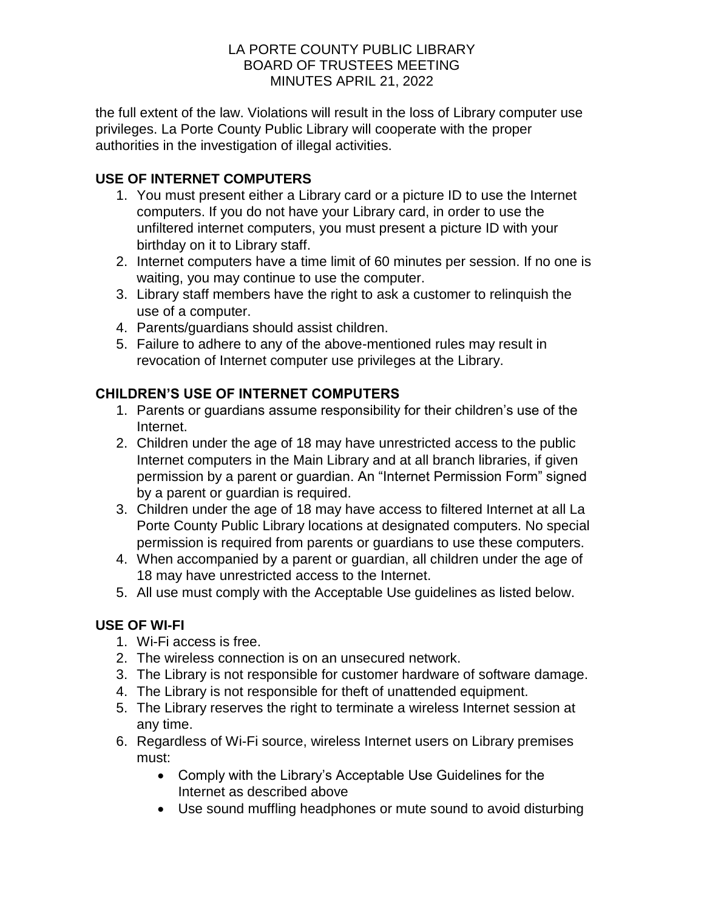the full extent of the law. Violations will result in the loss of Library computer use privileges. La Porte County Public Library will cooperate with the proper authorities in the investigation of illegal activities.

# **USE OF INTERNET COMPUTERS**

- 1. You must present either a Library card or a picture ID to use the Internet computers. If you do not have your Library card, in order to use the unfiltered internet computers, you must present a picture ID with your birthday on it to Library staff.
- 2. Internet computers have a time limit of 60 minutes per session. If no one is waiting, you may continue to use the computer.
- 3. Library staff members have the right to ask a customer to relinquish the use of a computer.
- 4. Parents/guardians should assist children.
- 5. Failure to adhere to any of the above-mentioned rules may result in revocation of Internet computer use privileges at the Library.

# **CHILDREN'S USE OF INTERNET COMPUTERS**

- 1. Parents or guardians assume responsibility for their children's use of the Internet.
- 2. Children under the age of 18 may have unrestricted access to the public Internet computers in the Main Library and at all branch libraries, if given permission by a parent or guardian. An "Internet Permission Form" signed by a parent or guardian is required.
- 3. Children under the age of 18 may have access to filtered Internet at all La Porte County Public Library locations at designated computers. No special permission is required from parents or guardians to use these computers.
- 4. When accompanied by a parent or guardian, all children under the age of 18 may have unrestricted access to the Internet.
- 5. All use must comply with the Acceptable Use guidelines as listed below.

# **USE OF WI-FI**

- 1. Wi-Fi access is free.
- 2. The wireless connection is on an unsecured network.
- 3. The Library is not responsible for customer hardware of software damage.
- 4. The Library is not responsible for theft of unattended equipment.
- 5. The Library reserves the right to terminate a wireless Internet session at any time.
- 6. Regardless of Wi-Fi source, wireless Internet users on Library premises must:
	- Comply with the Library's Acceptable Use Guidelines for the Internet as described above
	- Use sound muffling headphones or mute sound to avoid disturbing